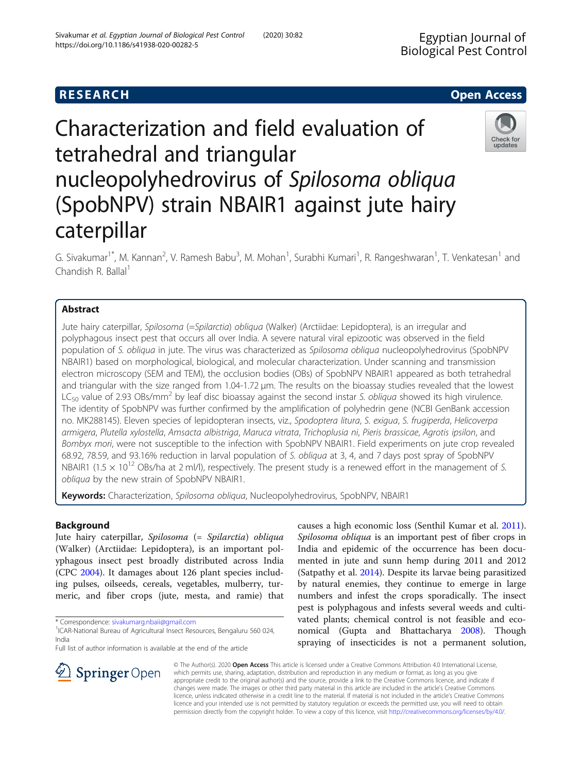# Characterization and field evaluation of tetrahedral and triangular nucleopolyhedrovirus of Spilosoma obliqua (SpobNPV) strain NBAIR1 against jute hairy caterpillar

G. Sivakumar<sup>1\*</sup>, M. Kannan<sup>2</sup>, V. Ramesh Babu<sup>3</sup>, M. Mohan<sup>1</sup>, Surabhi Kumari<sup>1</sup>, R. Rangeshwaran<sup>1</sup>, T. Venkatesan<sup>1</sup> and Chandish R. Ballal $<sup>1</sup>$ </sup>

# Abstract

Jute hairy caterpillar, Spilosoma (=Spilarctia) obliqua (Walker) (Arctiidae: Lepidoptera), is an irregular and polyphagous insect pest that occurs all over India. A severe natural viral epizootic was observed in the field population of S. obliqua in jute. The virus was characterized as Spilosoma obliqua nucleopolyhedrovirus (SpobNPV NBAIR1) based on morphological, biological, and molecular characterization. Under scanning and transmission electron microscopy (SEM and TEM), the occlusion bodies (OBs) of SpobNPV NBAIR1 appeared as both tetrahedral and triangular with the size ranged from 1.04-1.72 μm. The results on the bioassay studies revealed that the lowest  $LC_{50}$  value of 2.93 OBs/mm<sup>2</sup> by leaf disc bioassay against the second instar S. obliqua showed its high virulence. The identity of SpobNPV was further confirmed by the amplification of polyhedrin gene (NCBI GenBank accession no. MK288145). Eleven species of lepidopteran insects, viz., Spodoptera litura, S. exigua, S. frugiperda, Helicoverpa armigera, Plutella xylostella, Amsacta albistriga, Maruca vitrata, Trichoplusia ni, Pieris brassicae, Agrotis ipsilon, and Bombyx mori, were not susceptible to the infection with SpobNPV NBAIR1. Field experiments on jute crop revealed 68.92, 78.59, and 93.16% reduction in larval population of S. obliqua at 3, 4, and 7 days post spray of SpobNPV NBAIR1 (1.5  $\times$  10<sup>12</sup> OBs/ha at 2 ml/l), respectively. The present study is a renewed effort in the management of S. obliqua by the new strain of SpobNPV NBAIR1.

Keywords: Characterization, Spilosoma obliqua, Nucleopolyhedrovirus, SpobNPV, NBAIR1

# Background

Jute hairy caterpillar, Spilosoma (= Spilarctia) obliqua (Walker) (Arctiidae: Lepidoptera), is an important polyphagous insect pest broadly distributed across India (CPC [2004\)](#page-6-0). It damages about 126 plant species including pulses, oilseeds, cereals, vegetables, mulberry, turmeric, and fiber crops (jute, mesta, and ramie) that

\* Correspondence: [sivakumarg.nbaii@gmail.com](mailto:sivakumarg.nbaii@gmail.com) <sup>1</sup>

 $\mathcal{L}$  Springer Open

Full list of author information is available at the end of the article

causes a high economic loss (Senthil Kumar et al. [2011](#page-6-0)). Spilosoma obliqua is an important pest of fiber crops in India and epidemic of the occurrence has been documented in jute and sunn hemp during 2011 and 2012 (Satpathy et al. [2014](#page-6-0)). Despite its larvae being parasitized by natural enemies, they continue to emerge in large numbers and infest the crops sporadically. The insect pest is polyphagous and infests several weeds and cultivated plants; chemical control is not feasible and economical (Gupta and Bhattacharya [2008](#page-6-0)). Though spraying of insecticides is not a permanent solution,

© The Author(s). 2020 Open Access This article is licensed under a Creative Commons Attribution 4.0 International License, which permits use, sharing, adaptation, distribution and reproduction in any medium or format, as long as you give appropriate credit to the original author(s) and the source, provide a link to the Creative Commons licence, and indicate if changes were made. The images or other third party material in this article are included in the article's Creative Commons licence, unless indicated otherwise in a credit line to the material. If material is not included in the article's Creative Commons licence and your intended use is not permitted by statutory regulation or exceeds the permitted use, you will need to obtain permission directly from the copyright holder. To view a copy of this licence, visit <http://creativecommons.org/licenses/by/4.0/>.







# **RESEARCH CHE Open Access**

<sup>&</sup>lt;sup>1</sup>ICAR-National Bureau of Agricultural Insect Resources, Bengaluru 560 024, India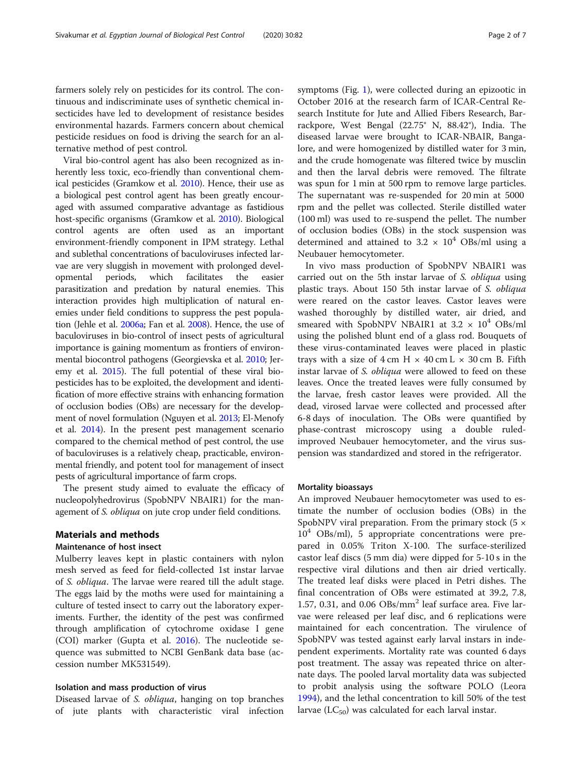farmers solely rely on pesticides for its control. The continuous and indiscriminate uses of synthetic chemical insecticides have led to development of resistance besides environmental hazards. Farmers concern about chemical pesticide residues on food is driving the search for an alternative method of pest control.

Viral bio-control agent has also been recognized as inherently less toxic, eco-friendly than conventional chemical pesticides (Gramkow et al. [2010](#page-6-0)). Hence, their use as a biological pest control agent has been greatly encouraged with assumed comparative advantage as fastidious host-specific organisms (Gramkow et al. [2010\)](#page-6-0). Biological control agents are often used as an important environment-friendly component in IPM strategy. Lethal and sublethal concentrations of baculoviruses infected larvae are very sluggish in movement with prolonged developmental periods, which facilitates the easier parasitization and predation by natural enemies. This interaction provides high multiplication of natural enemies under field conditions to suppress the pest population (Jehle et al. [2006a](#page-6-0); Fan et al. [2008\)](#page-6-0). Hence, the use of baculoviruses in bio-control of insect pests of agricultural importance is gaining momentum as frontiers of environmental biocontrol pathogens (Georgievska et al. [2010](#page-6-0); Jeremy et al. [2015](#page-6-0)). The full potential of these viral biopesticides has to be exploited, the development and identification of more effective strains with enhancing formation of occlusion bodies (OBs) are necessary for the development of novel formulation (Nguyen et al. [2013](#page-6-0); El-Menofy et al. [2014\)](#page-6-0). In the present pest management scenario compared to the chemical method of pest control, the use of baculoviruses is a relatively cheap, practicable, environmental friendly, and potent tool for management of insect pests of agricultural importance of farm crops.

The present study aimed to evaluate the efficacy of nucleopolyhedrovirus (SpobNPV NBAIR1) for the management of S. obliqua on jute crop under field conditions.

# Materials and methods

# Maintenance of host insect

Mulberry leaves kept in plastic containers with nylon mesh served as feed for field-collected 1st instar larvae of S. obliqua. The larvae were reared till the adult stage. The eggs laid by the moths were used for maintaining a culture of tested insect to carry out the laboratory experiments. Further, the identity of the pest was confirmed through amplification of cytochrome oxidase I gene (COI) marker (Gupta et al. [2016\)](#page-6-0). The nucleotide sequence was submitted to NCBI GenBank data base (accession number MK531549).

# Isolation and mass production of virus

Diseased larvae of S. obliqua, hanging on top branches of jute plants with characteristic viral infection symptoms (Fig. [1\)](#page-2-0), were collected during an epizootic in October 2016 at the research farm of ICAR-Central Research Institute for Jute and Allied Fibers Research, Barrackpore, West Bengal (22.75° N, 88.42°), India. The diseased larvae were brought to ICAR-NBAIR, Bangalore, and were homogenized by distilled water for 3 min, and the crude homogenate was filtered twice by musclin and then the larval debris were removed. The filtrate was spun for 1 min at 500 rpm to remove large particles. The supernatant was re-suspended for 20 min at 5000 rpm and the pellet was collected. Sterile distilled water (100 ml) was used to re-suspend the pellet. The number of occlusion bodies (OBs) in the stock suspension was determined and attained to 3.2  $\times$  10<sup>4</sup> OBs/ml using a Neubauer hemocytometer.

In vivo mass production of SpobNPV NBAIR1 was carried out on the 5th instar larvae of S. *obliqua* using plastic trays. About 150 5th instar larvae of S. obliqua were reared on the castor leaves. Castor leaves were washed thoroughly by distilled water, air dried, and smeared with SpobNPV NBAIR1 at  $3.2 \times 10^4$  OBs/ml using the polished blunt end of a glass rod. Bouquets of these virus-contaminated leaves were placed in plastic trays with a size of  $4 \text{ cm H} \times 40 \text{ cm L} \times 30 \text{ cm B}$ . Fifth instar larvae of S. obliqua were allowed to feed on these leaves. Once the treated leaves were fully consumed by the larvae, fresh castor leaves were provided. All the dead, virosed larvae were collected and processed after 6-8 days of inoculation. The OBs were quantified by phase-contrast microscopy using a double ruledimproved Neubauer hemocytometer, and the virus suspension was standardized and stored in the refrigerator.

#### Mortality bioassays

An improved Neubauer hemocytometer was used to estimate the number of occlusion bodies (OBs) in the SpobNPV viral preparation. From the primary stock  $(5 \times$  $10<sup>4</sup>$  OBs/ml), 5 appropriate concentrations were prepared in 0.05% Triton X-100. The surface-sterilized castor leaf discs (5 mm dia) were dipped for 5-10 s in the respective viral dilutions and then air dried vertically. The treated leaf disks were placed in Petri dishes. The final concentration of OBs were estimated at 39.2, 7.8, 1.57, 0.31, and 0.06  $\text{OBs/mm}^2$  leaf surface area. Five larvae were released per leaf disc, and 6 replications were maintained for each concentration. The virulence of SpobNPV was tested against early larval instars in independent experiments. Mortality rate was counted 6 days post treatment. The assay was repeated thrice on alternate days. The pooled larval mortality data was subjected to probit analysis using the software POLO (Leora [1994](#page-6-0)), and the lethal concentration to kill 50% of the test larvae  $(LC_{50})$  was calculated for each larval instar.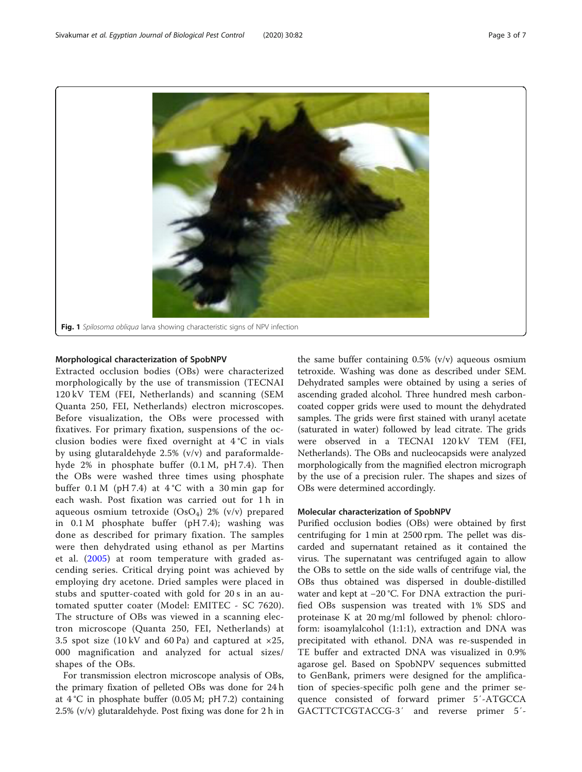<span id="page-2-0"></span>

# Morphological characterization of SpobNPV

Extracted occlusion bodies (OBs) were characterized morphologically by the use of transmission (TECNAI 120 kV TEM (FEI, Netherlands) and scanning (SEM Quanta 250, FEI, Netherlands) electron microscopes. Before visualization, the OBs were processed with fixatives. For primary fixation, suspensions of the occlusion bodies were fixed overnight at 4 °C in vials by using glutaraldehyde 2.5% (v/v) and paraformaldehyde 2% in phosphate buffer (0.1 M, pH 7.4). Then the OBs were washed three times using phosphate buffer  $0.1 M$  (pH 7.4) at  $4^{\circ}$ C with a 30 min gap for each wash. Post fixation was carried out for 1 h in aqueous osmium tetroxide  $(OsO<sub>4</sub>)$  2% (v/v) prepared in 0.1 M phosphate buffer (pH 7.4); washing was done as described for primary fixation. The samples were then dehydrated using ethanol as per Martins et al. [\(2005\)](#page-6-0) at room temperature with graded ascending series. Critical drying point was achieved by employing dry acetone. Dried samples were placed in stubs and sputter-coated with gold for 20 s in an automated sputter coater (Model: EMITEC - SC 7620). The structure of OBs was viewed in a scanning electron microscope (Quanta 250, FEI, Netherlands) at 3.5 spot size  $(10 \text{ kV}$  and 60 Pa) and captured at  $\times 25$ , 000 magnification and analyzed for actual sizes/ shapes of the OBs.

For transmission electron microscope analysis of OBs, the primary fixation of pelleted OBs was done for 24 h at  $4^{\circ}$ C in phosphate buffer (0.05 M; pH 7.2) containing 2.5% (v/v) glutaraldehyde. Post fixing was done for 2 h in

the same buffer containing  $0.5\%$  (v/v) aqueous osmium tetroxide. Washing was done as described under SEM. Dehydrated samples were obtained by using a series of ascending graded alcohol. Three hundred mesh carboncoated copper grids were used to mount the dehydrated samples. The grids were first stained with uranyl acetate (saturated in water) followed by lead citrate. The grids were observed in a TECNAI 120 kV TEM (FEI, Netherlands). The OBs and nucleocapsids were analyzed morphologically from the magnified electron micrograph by the use of a precision ruler. The shapes and sizes of OBs were determined accordingly.

# Molecular characterization of SpobNPV

Purified occlusion bodies (OBs) were obtained by first centrifuging for 1 min at 2500 rpm. The pellet was discarded and supernatant retained as it contained the virus. The supernatant was centrifuged again to allow the OBs to settle on the side walls of centrifuge vial, the OBs thus obtained was dispersed in double-distilled water and kept at −20 °C. For DNA extraction the purified OBs suspension was treated with 1% SDS and proteinase K at 20 mg/ml followed by phenol: chloroform: isoamylalcohol (1:1:1), extraction and DNA was precipitated with ethanol. DNA was re-suspended in TE buffer and extracted DNA was visualized in 0.9% agarose gel. Based on SpobNPV sequences submitted to GenBank, primers were designed for the amplification of species-specific polh gene and the primer sequence consisted of forward primer 5′-ATGCCA GACTTCTCGTACCG-3′ and reverse primer 5′-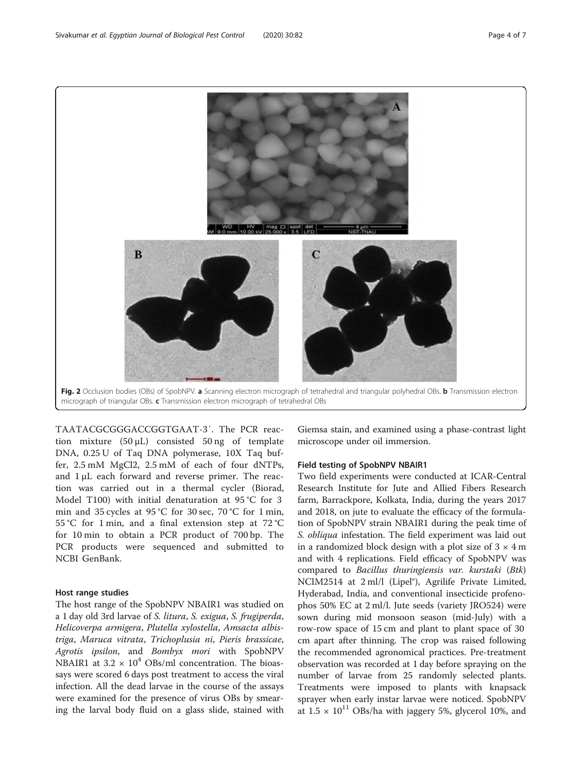<span id="page-3-0"></span>

TAATACGCGGGACCGGTGAAT-3′. The PCR reaction mixture  $(50 \mu L)$  consisted 50 ng of template DNA, 0.25 U of Taq DNA polymerase, 10X Taq buffer, 2.5 mM MgCl2, 2.5 mM of each of four dNTPs, and 1 μL each forward and reverse primer. The reaction was carried out in a thermal cycler (Biorad, Model T100) with initial denaturation at 95 °C for 3 min and 35 cycles at 95 °C for 30 sec, 70 °C for 1 min, 55 °C for 1 min, and a final extension step at 72 °C for 10 min to obtain a PCR product of 700 bp. The PCR products were sequenced and submitted to NCBI GenBank.

# Host range studies

The host range of the SpobNPV NBAIR1 was studied on a 1 day old 3rd larvae of S. litura, S. exigua, S. frugiperda, Helicoverpa armigera, Plutella xylostella, Amsacta albistriga, Maruca vitrata, Trichoplusia ni, Pieris brassicae, Agrotis ipsilon, and Bombyx mori with SpobNPV NBAIR1 at  $3.2 \times 10^4$  OBs/ml concentration. The bioassays were scored 6 days post treatment to access the viral infection. All the dead larvae in the course of the assays were examined for the presence of virus OBs by smearing the larval body fluid on a glass slide, stained with Giemsa stain, and examined using a phase-contrast light microscope under oil immersion.

# Field testing of SpobNPV NBAIR1

Two field experiments were conducted at ICAR-Central Research Institute for Jute and Allied Fibers Research farm, Barrackpore, Kolkata, India, during the years 2017 and 2018, on jute to evaluate the efficacy of the formulation of SpobNPV strain NBAIR1 during the peak time of S. *obliqua* infestation. The field experiment was laid out in a randomized block design with a plot size of  $3 \times 4$  m and with 4 replications. Field efficacy of SpobNPV was compared to Bacillus thuringiensis var. kurstaki (Btk) NCIM2514 at 2 ml/l (Lipel®), Agrilife Private Limited, Hyderabad, India, and conventional insecticide profenophos 50% EC at 2 ml/l. Jute seeds (variety JRO524) were sown during mid monsoon season (mid-July) with a row-row space of 15 cm and plant to plant space of 30 cm apart after thinning. The crop was raised following the recommended agronomical practices. Pre-treatment observation was recorded at 1 day before spraying on the number of larvae from 25 randomly selected plants. Treatments were imposed to plants with knapsack sprayer when early instar larvae were noticed. SpobNPV at  $1.5 \times 10^{11}$  OBs/ha with jaggery 5%, glycerol 10%, and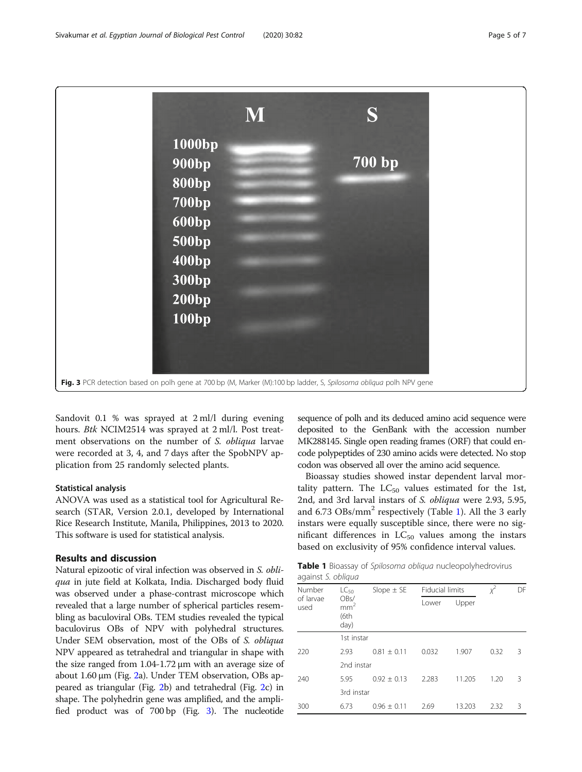

Sandovit 0.1 % was sprayed at 2 ml/l during evening hours. Btk NCIM2514 was sprayed at 2 ml/l. Post treatment observations on the number of S. obliqua larvae were recorded at 3, 4, and 7 days after the SpobNPV application from 25 randomly selected plants.

# Statistical analysis

ANOVA was used as a statistical tool for Agricultural Research (STAR, Version 2.0.1, developed by International Rice Research Institute, Manila, Philippines, 2013 to 2020. This software is used for statistical analysis.

# Results and discussion

Natural epizootic of viral infection was observed in S. obliqua in jute field at Kolkata, India. Discharged body fluid was observed under a phase-contrast microscope which revealed that a large number of spherical particles resembling as baculoviral OBs. TEM studies revealed the typical baculovirus OBs of NPV with polyhedral structures. Under SEM observation, most of the OBs of S. obliqua NPV appeared as tetrahedral and triangular in shape with the size ranged from 1.04-1.72 μm with an average size of about 1.60 μm (Fig. [2a](#page-3-0)). Under TEM observation, OBs appeared as triangular (Fig. [2b](#page-3-0)) and tetrahedral (Fig. [2](#page-3-0)c) in shape. The polyhedrin gene was amplified, and the amplified product was of 700 bp (Fig. 3). The nucleotide sequence of polh and its deduced amino acid sequence were deposited to the GenBank with the accession number MK288145. Single open reading frames (ORF) that could encode polypeptides of 230 amino acids were detected. No stop codon was observed all over the amino acid sequence.

Bioassay studies showed instar dependent larval mortality pattern. The  $LC_{50}$  values estimated for the 1st, 2nd, and 3rd larval instars of S. obliqua were 2.93, 5.95, and  $6.73 \text{ OBs/mm}^2$  respectively (Table 1). All the 3 early instars were equally susceptible since, there were no significant differences in  $LC_{50}$  values among the instars based on exclusivity of 95% confidence interval values.

Table 1 Bioassay of Spilosoma obliqua nucleopolyhedrovirus against S. oblique

| Number<br>of larvae<br>used | $LC_{50}$                                | Slope $\pm$ SE  | <b>Fiducial limits</b> |        | х <sup>2</sup> | DF |  |
|-----------------------------|------------------------------------------|-----------------|------------------------|--------|----------------|----|--|
|                             | OBs/<br>mm <sup>2</sup><br>(6th)<br>day) |                 | Lower                  | Upper  |                |    |  |
|                             | 1st instar                               |                 |                        |        |                |    |  |
| 220                         | 2.93                                     | $0.81 + 0.11$   | 0.032                  | 1.907  | 0.32           | 3  |  |
|                             |                                          | 2nd instar      |                        |        |                |    |  |
| 240                         | 5.95                                     | $0.92 \pm 0.13$ | 2.283                  | 11.205 | 1.20           | 3  |  |
|                             |                                          | 3rd instar      |                        |        |                |    |  |
| 300                         | 6.73                                     | $0.96 \pm 0.11$ | 2.69                   | 13.203 | 2.32           | 3  |  |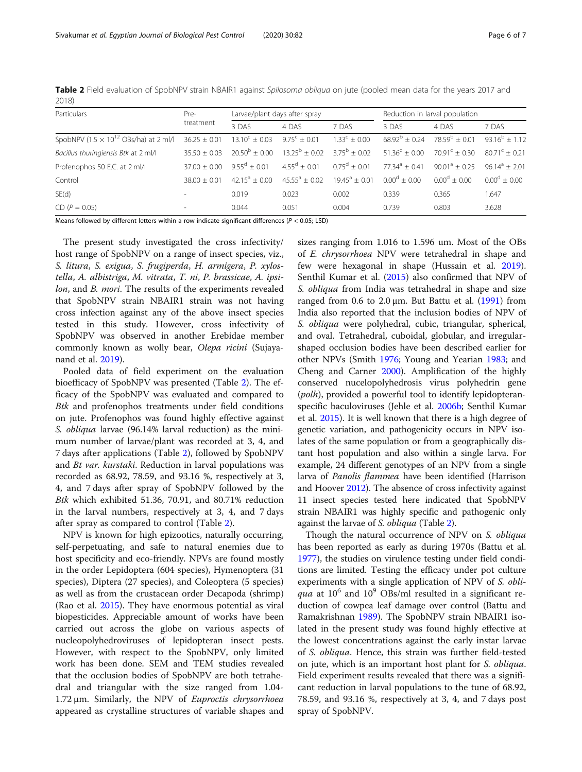|       |  | Table 2 Field evaluation of SpobNPV strain NBAIR1 against Spilosoma obliqua on jute (pooled mean data for the years 2017 and |
|-------|--|------------------------------------------------------------------------------------------------------------------------------|
| 2018) |  |                                                                                                                              |

| Particulars                                             | Pre-                     | Larvae/plant days after spray |                        |                          | Reduction in larval population |                                |                        |
|---------------------------------------------------------|--------------------------|-------------------------------|------------------------|--------------------------|--------------------------------|--------------------------------|------------------------|
|                                                         | treatment                | 3 DAS                         | 4 DAS                  | 7 DAS                    | 3 DAS                          | 4 DAS                          | 7 DAS                  |
| SpobNPV $(1.5 \times 10^{12} \text{ OBS/ha})$ at 2 ml/l | $36.25 \pm 0.01$         | $13.10^{\circ} \pm 0.03$      | $9.75^{\circ} + 0.01$  | $1.33^{\circ} \pm 0.00$  | $68.92^b \pm 0.24$             | $78.59^b + 0.01$               | $93.16^{b} + 1.12$     |
| Bacillus thuringiensis Btk at 2 ml/l                    | $35.50 + 0.03$           | $20.50^{\rm b} \pm 0.00$      | $13.25^{\rm b} + 0.02$ | $3.75^{\rm b}$ + 0.02    | $51.36^{\circ} + 0.00$         | $70.91^{\circ} + 0.30^{\circ}$ | $80.71^{\circ} + 0.21$ |
| Profenophos 50 E.C. at 2 ml/l                           | $37.00 + 0.00$           | $9.55^{\text{d}} + 0.01$      | $455^d + 0.01$         | $0.75^{\text{d}} + 0.01$ | $77.34^a + 0.41$               | $90.01^a + 0.25$               | $96.14^a + 2.01$       |
| Control                                                 | $3800 + 001$             | $4215^a + 0.00$               | $4555^a + 002$         | $1945^a + 0.01$          | $0.00^{d} + 0.00$              | $0.00^{d} + 0.00$              | $0.00^{d} + 0.00$      |
| SE(d)                                                   | $\overline{\phantom{a}}$ | 0.019                         | 0.023                  | 0.002                    | 0.339                          | 0.365                          | .647                   |
| $CD (P = 0.05)$                                         | $\overline{a}$           | 0.044                         | 0.051                  | 0.004                    | 0.739                          | 0.803                          | 3.628                  |

Means followed by different letters within a row indicate significant differences (P < 0.05; LSD)

The present study investigated the cross infectivity/ host range of SpobNPV on a range of insect species, viz., S. litura, S. exigua, S. frugiperda, H. armigera, P. xylostella, A. albistriga, M. vitrata, T. ni, P. brassicae, A. ipsilon, and B. mori. The results of the experiments revealed that SpobNPV strain NBAIR1 strain was not having cross infection against any of the above insect species tested in this study. However, cross infectivity of SpobNPV was observed in another Erebidae member commonly known as wolly bear, Olepa ricini (Sujayanand et al. [2019](#page-6-0)).

Pooled data of field experiment on the evaluation bioefficacy of SpobNPV was presented (Table 2). The efficacy of the SpobNPV was evaluated and compared to Btk and profenophos treatments under field conditions on jute. Profenophos was found highly effective against S. obliqua larvae (96.14% larval reduction) as the minimum number of larvae/plant was recorded at 3, 4, and 7 days after applications (Table 2), followed by SpobNPV and Bt var. kurstaki. Reduction in larval populations was recorded as 68.92, 78.59, and 93.16 %, respectively at 3, 4, and 7 days after spray of SpobNPV followed by the Btk which exhibited 51.36, 70.91, and 80.71% reduction in the larval numbers, respectively at 3, 4, and 7 days after spray as compared to control (Table 2).

NPV is known for high epizootics, naturally occurring, self-perpetuating, and safe to natural enemies due to host specificity and eco-friendly. NPVs are found mostly in the order Lepidoptera (604 species), Hymenoptera (31 species), Diptera (27 species), and Coleoptera (5 species) as well as from the crustacean order Decapoda (shrimp) (Rao et al. [2015](#page-6-0)). They have enormous potential as viral biopesticides. Appreciable amount of works have been carried out across the globe on various aspects of nucleopolyhedroviruses of lepidopteran insect pests. However, with respect to the SpobNPV, only limited work has been done. SEM and TEM studies revealed that the occlusion bodies of SpobNPV are both tetrahedral and triangular with the size ranged from 1.04- 1.72 μm. Similarly, the NPV of *Euproctis chrysorrhoea* appeared as crystalline structures of variable shapes and

sizes ranging from 1.016 to 1.596 um. Most of the OBs of E. chrysorrhoea NPV were tetrahedral in shape and few were hexagonal in shape (Hussain et al. [2019](#page-6-0)). Senthil Kumar et al. ([2015\)](#page-6-0) also confirmed that NPV of S. obliqua from India was tetrahedral in shape and size ranged from 0.6 to  $2.0 \mu m$ . But Battu et al. [\(1991\)](#page-6-0) from India also reported that the inclusion bodies of NPV of S. obliqua were polyhedral, cubic, triangular, spherical, and oval. Tetrahedral, cuboidal, globular, and irregularshaped occlusion bodies have been described earlier for other NPVs (Smith [1976](#page-6-0); Young and Yearian [1983;](#page-6-0) and Cheng and Carner [2000](#page-6-0)). Amplification of the highly conserved nucelopolyhedrosis virus polyhedrin gene (polh), provided a powerful tool to identify lepidopteranspecific baculoviruses (Jehle et al. [2006b;](#page-6-0) Senthil Kumar et al. [2015](#page-6-0)). It is well known that there is a high degree of genetic variation, and pathogenicity occurs in NPV isolates of the same population or from a geographically distant host population and also within a single larva. For example, 24 different genotypes of an NPV from a single larva of Panolis flammea have been identified (Harrison and Hoover [2012](#page-6-0)). The absence of cross infectivity against 11 insect species tested here indicated that SpobNPV strain NBAIR1 was highly specific and pathogenic only against the larvae of S. obliqua (Table 2).

Though the natural occurrence of NPV on S. *obliqua* has been reported as early as during 1970s (Battu et al. [1977](#page-6-0)), the studies on virulence testing under field conditions are limited. Testing the efficacy under pot culture experiments with a single application of NPV of S. obli*qua* at  $10^6$  and  $10^9$  OBs/ml resulted in a significant reduction of cowpea leaf damage over control (Battu and Ramakrishnan [1989](#page-6-0)). The SpobNPV strain NBAIR1 isolated in the present study was found highly effective at the lowest concentrations against the early instar larvae of S. obliqua. Hence, this strain was further field-tested on jute, which is an important host plant for S. obliqua. Field experiment results revealed that there was a significant reduction in larval populations to the tune of 68.92, 78.59, and 93.16 %, respectively at 3, 4, and 7 days post spray of SpobNPV.